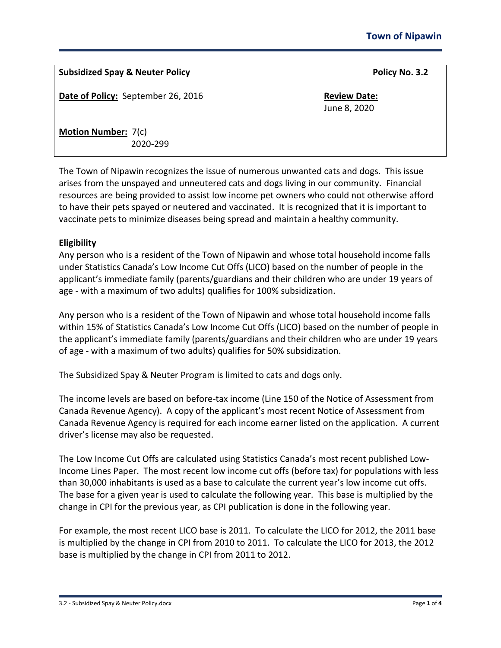# **Subsidized Spay & Neuter Policy Policy No. 3.2**

**Date of Policy:** September 26, 2016 **Review Date: Review Date:** 

June 8, 2020

**Motion Number:** 7(c) 2020-299

The Town of Nipawin recognizes the issue of numerous unwanted cats and dogs. This issue arises from the unspayed and unneutered cats and dogs living in our community. Financial resources are being provided to assist low income pet owners who could not otherwise afford to have their pets spayed or neutered and vaccinated. It is recognized that it is important to vaccinate pets to minimize diseases being spread and maintain a healthy community.

## **Eligibility**

Any person who is a resident of the Town of Nipawin and whose total household income falls under Statistics Canada's Low Income Cut Offs (LICO) based on the number of people in the applicant's immediate family (parents/guardians and their children who are under 19 years of age - with a maximum of two adults) qualifies for 100% subsidization.

Any person who is a resident of the Town of Nipawin and whose total household income falls within 15% of Statistics Canada's Low Income Cut Offs (LICO) based on the number of people in the applicant's immediate family (parents/guardians and their children who are under 19 years of age - with a maximum of two adults) qualifies for 50% subsidization.

The Subsidized Spay & Neuter Program is limited to cats and dogs only.

The income levels are based on before-tax income (Line 150 of the Notice of Assessment from Canada Revenue Agency). A copy of the applicant's most recent Notice of Assessment from Canada Revenue Agency is required for each income earner listed on the application. A current driver's license may also be requested.

The Low Income Cut Offs are calculated using Statistics Canada's most recent published Low-Income Lines Paper. The most recent low income cut offs (before tax) for populations with less than 30,000 inhabitants is used as a base to calculate the current year's low income cut offs. The base for a given year is used to calculate the following year. This base is multiplied by the change in CPI for the previous year, as CPI publication is done in the following year.

For example, the most recent LICO base is 2011. To calculate the LICO for 2012, the 2011 base is multiplied by the change in CPI from 2010 to 2011. To calculate the LICO for 2013, the 2012 base is multiplied by the change in CPI from 2011 to 2012.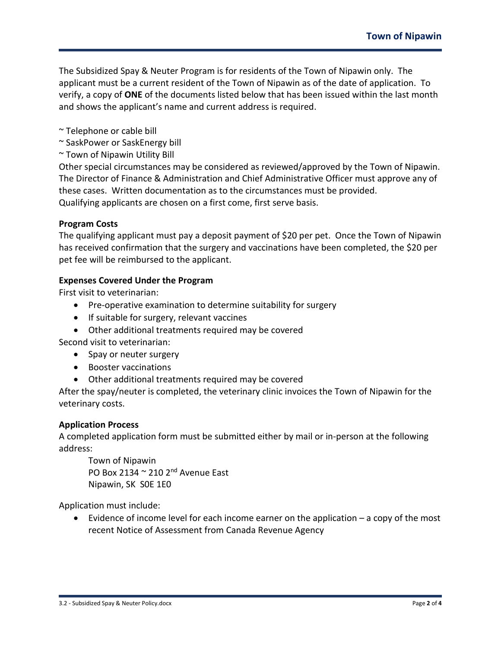The Subsidized Spay & Neuter Program is for residents of the Town of Nipawin only. The applicant must be a current resident of the Town of Nipawin as of the date of application. To verify, a copy of **ONE** of the documents listed below that has been issued within the last month and shows the applicant's name and current address is required.

- ~ Telephone or cable bill
- ~ SaskPower or SaskEnergy bill
- ~ Town of Nipawin Utility Bill

Other special circumstances may be considered as reviewed/approved by the Town of Nipawin. The Director of Finance & Administration and Chief Administrative Officer must approve any of these cases. Written documentation as to the circumstances must be provided. Qualifying applicants are chosen on a first come, first serve basis.

### **Program Costs**

The qualifying applicant must pay a deposit payment of \$20 per pet. Once the Town of Nipawin has received confirmation that the surgery and vaccinations have been completed, the \$20 per pet fee will be reimbursed to the applicant.

### **Expenses Covered Under the Program**

First visit to veterinarian:

- Pre-operative examination to determine suitability for surgery
- If suitable for surgery, relevant vaccines
- Other additional treatments required may be covered

Second visit to veterinarian:

- Spay or neuter surgery
- Booster vaccinations
- Other additional treatments required may be covered

After the spay/neuter is completed, the veterinary clinic invoices the Town of Nipawin for the veterinary costs.

#### **Application Process**

A completed application form must be submitted either by mail or in-person at the following address:

Town of Nipawin PO Box 2134 ~ 210 2nd Avenue East Nipawin, SK S0E 1E0

Application must include:

• Evidence of income level for each income earner on the application – a copy of the most recent Notice of Assessment from Canada Revenue Agency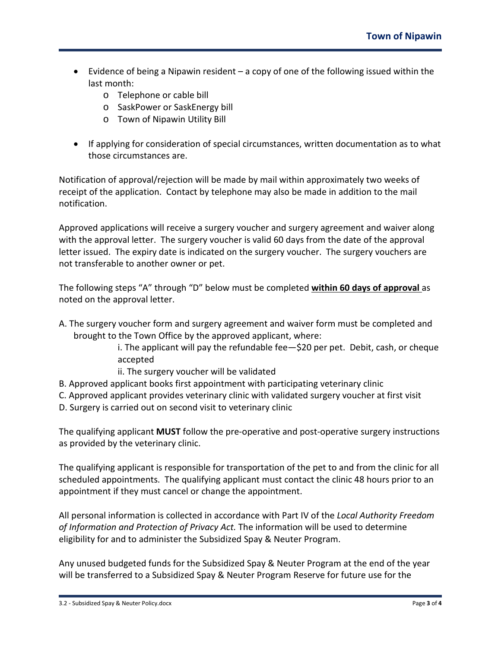- Evidence of being a Nipawin resident a copy of one of the following issued within the last month:
	- o Telephone or cable bill
	- o SaskPower or SaskEnergy bill
	- o Town of Nipawin Utility Bill
- If applying for consideration of special circumstances, written documentation as to what those circumstances are.

Notification of approval/rejection will be made by mail within approximately two weeks of receipt of the application. Contact by telephone may also be made in addition to the mail notification.

Approved applications will receive a surgery voucher and surgery agreement and waiver along with the approval letter. The surgery voucher is valid 60 days from the date of the approval letter issued. The expiry date is indicated on the surgery voucher. The surgery vouchers are not transferable to another owner or pet.

The following steps "A" through "D" below must be completed **within 60 days of approval** as noted on the approval letter.

- A. The surgery voucher form and surgery agreement and waiver form must be completed and brought to the Town Office by the approved applicant, where:
	- i. The applicant will pay the refundable fee—\$20 per pet. Debit, cash, or cheque accepted
	- ii. The surgery voucher will be validated
- B. Approved applicant books first appointment with participating veterinary clinic
- C. Approved applicant provides veterinary clinic with validated surgery voucher at first visit
- D. Surgery is carried out on second visit to veterinary clinic

The qualifying applicant **MUST** follow the pre-operative and post-operative surgery instructions as provided by the veterinary clinic.

The qualifying applicant is responsible for transportation of the pet to and from the clinic for all scheduled appointments. The qualifying applicant must contact the clinic 48 hours prior to an appointment if they must cancel or change the appointment.

All personal information is collected in accordance with Part IV of the *Local Authority Freedom of Information and Protection of Privacy Act.* The information will be used to determine eligibility for and to administer the Subsidized Spay & Neuter Program.

Any unused budgeted funds for the Subsidized Spay & Neuter Program at the end of the year will be transferred to a Subsidized Spay & Neuter Program Reserve for future use for the